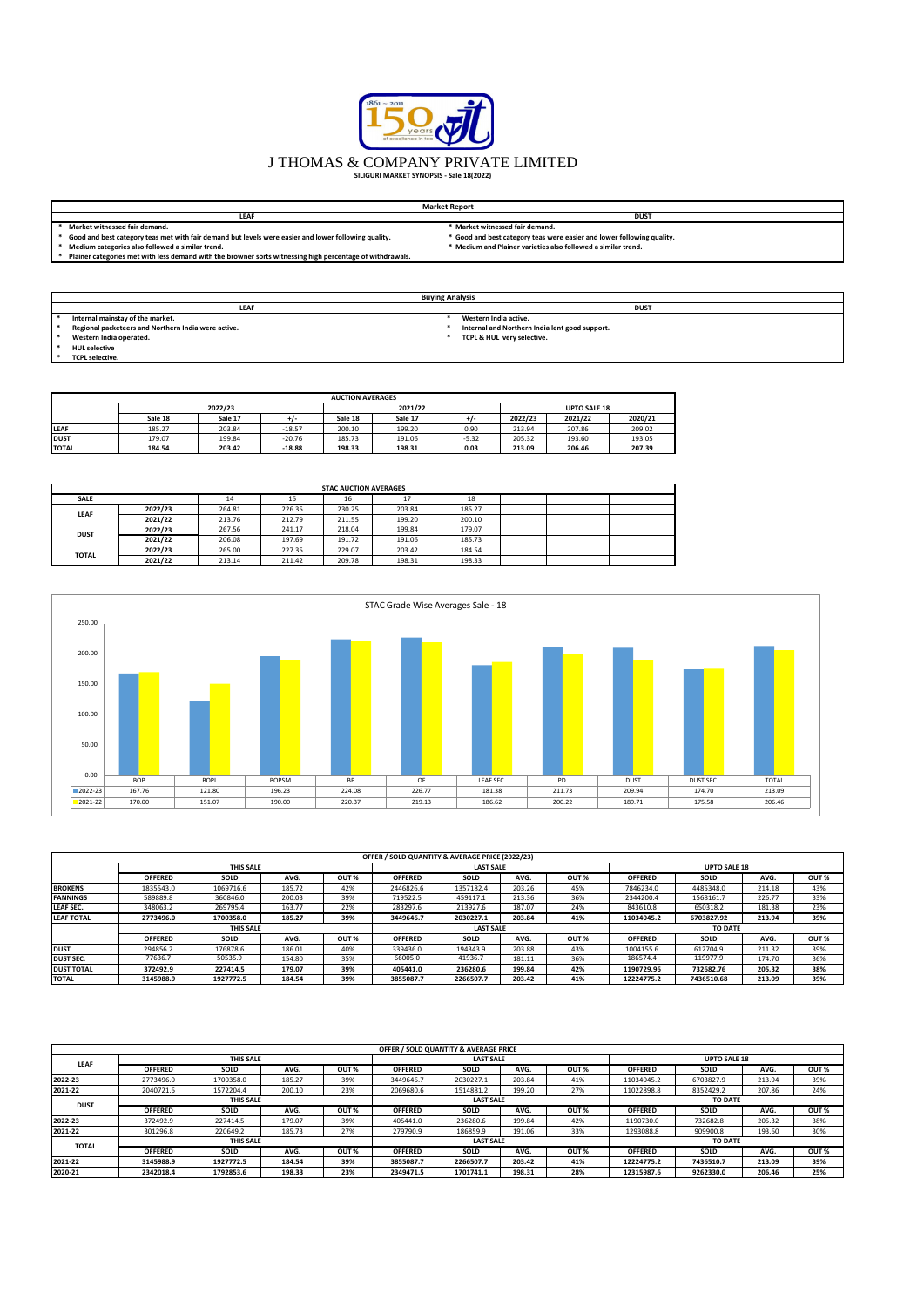|                                                                                                           | <b>Market Report</b>                                                   |
|-----------------------------------------------------------------------------------------------------------|------------------------------------------------------------------------|
| <b>LEAF</b>                                                                                               | <b>DUST</b>                                                            |
| Market witnessed fair demand.                                                                             | * Market witnessed fair demand.                                        |
| Good and best category teas met with fair demand but levels were easier and lower following quality.      | * Good and best category teas were easier and lower following quality. |
| Medium categories also followed a similar trend.                                                          | * Medium and Plainer varieties also followed a similar trend.          |
| Plainer categories met with less demand with the browner sorts witnessing high percentage of withdrawals. |                                                                        |

| <b>Buying Analysis</b>                              |             |                                                |  |  |  |  |  |  |  |  |
|-----------------------------------------------------|-------------|------------------------------------------------|--|--|--|--|--|--|--|--|
| <b>LEAF</b>                                         | <b>DUST</b> |                                                |  |  |  |  |  |  |  |  |
| Internal mainstay of the market.                    |             | Western India active.                          |  |  |  |  |  |  |  |  |
| Regional packeteers and Northern India were active. |             | Internal and Northern India lent good support. |  |  |  |  |  |  |  |  |
| Western India operated.                             |             | TCPL & HUL very selective.                     |  |  |  |  |  |  |  |  |
| <b>HUL selective</b>                                |             |                                                |  |  |  |  |  |  |  |  |
| <b>TCPL selective.</b>                              |             |                                                |  |  |  |  |  |  |  |  |

|              | <b>AUCTION AVERAGES</b> |         |          |         |         |         |                     |         |         |  |  |  |  |
|--------------|-------------------------|---------|----------|---------|---------|---------|---------------------|---------|---------|--|--|--|--|
|              |                         | 2022/23 |          |         | 2021/22 |         | <b>UPTO SALE 18</b> |         |         |  |  |  |  |
|              | Sale 18                 | Sale 17 | $+1-$    | Sale 18 | Sale 17 |         | 2022/23             | 2021/22 | 2020/21 |  |  |  |  |
| <b>LEAF</b>  | 185.27                  | 203.84  | $-18.57$ | 200.10  | 199.20  | 0.90    | 213.94              | 207.86  | 209.02  |  |  |  |  |
| <b>DUST</b>  | 179.07                  | 199.84  | $-20.76$ | 185.73  | 191.06  | $-5.32$ | 205.32              | 193.60  | 193.05  |  |  |  |  |
| <b>TOTAL</b> | 184.54                  | 203.42  | $-18.88$ | 198.33  | 198.31  | 0.03    | 213.09              | 206.46  | 207.39  |  |  |  |  |

|              | <b>STAC AUCTION AVERAGES</b> |        |        |        |          |        |  |  |  |  |  |  |  |
|--------------|------------------------------|--------|--------|--------|----------|--------|--|--|--|--|--|--|--|
| <b>SALE</b>  |                              | 14     | 15     | 16     | <b>L</b> | 18     |  |  |  |  |  |  |  |
| <b>LEAF</b>  | 2022/23                      | 264.81 | 226.35 | 230.25 | 203.84   | 185.27 |  |  |  |  |  |  |  |
|              | 2021/22                      | 213.76 | 212.79 | 211.55 | 199.20   | 200.10 |  |  |  |  |  |  |  |
| <b>DUST</b>  | 2022/23                      | 267.56 | 241.17 | 218.04 | 199.84   | 179.07 |  |  |  |  |  |  |  |
|              | 2021/22                      | 206.08 | 197.69 | 191.72 | 191.06   | 185.73 |  |  |  |  |  |  |  |
| <b>TOTAL</b> | 2022/23                      | 265.00 | 227.35 | 229.07 | 203.42   | 184.54 |  |  |  |  |  |  |  |
|              | 2021/22                      | 213.14 | 211.42 | 209.78 | 198.31   | 198.33 |  |  |  |  |  |  |  |

|                   |                |                  |        |                  | OFFER / SOLD QUANTITY & AVERAGE PRICE (2022/23) |                  |        |                  |                |                     |        |      |  |
|-------------------|----------------|------------------|--------|------------------|-------------------------------------------------|------------------|--------|------------------|----------------|---------------------|--------|------|--|
|                   |                | <b>THIS SALE</b> |        |                  |                                                 | <b>LAST SALE</b> |        |                  |                | <b>UPTO SALE 18</b> |        |      |  |
|                   | <b>OFFERED</b> | <b>SOLD</b>      | AVG.   | OUT <sub>%</sub> | <b>OFFERED</b>                                  | <b>SOLD</b>      | AVG.   | OUT <sub>%</sub> | <b>OFFERED</b> | <b>SOLD</b>         | AVG.   | OUT% |  |
| <b>BROKENS</b>    | 1835543.0      | 1069716.6        | 185.72 | 42%              | 2446826.6                                       | 1357182.4        | 203.26 | 45%              | 7846234.0      | 4485348.0           | 214.18 | 43%  |  |
| <b>FANNINGS</b>   | 589889.8       | 360846.0         | 200.03 | 39%              | 719522.5                                        | 459117.1         | 213.36 | 36%              | 2344200.4      | 1568161.7           | 226.77 | 33%  |  |
| <b>LEAF SEC.</b>  | 348063.2       | 269795.4         | 163.77 | 22%              | 283297.6                                        | 213927.6         | 187.07 | 24%              | 843610.8       | 650318.2            | 181.38 | 23%  |  |
| <b>LEAF TOTAL</b> | 2773496.0      | 1700358.0        | 185.27 | 39%              | 3449646.7                                       | 2030227.1        | 203.84 | 41%              | 11034045.2     | 6703827.92          | 213.94 | 39%  |  |
|                   |                | <b>THIS SALE</b> |        |                  | <b>LAST SALE</b>                                |                  |        |                  | <b>TO DATE</b> |                     |        |      |  |
|                   | <b>OFFERED</b> | <b>SOLD</b>      | AVG.   | OUT%             | <b>OFFERED</b>                                  | <b>SOLD</b>      | AVG.   | OUT <sub>%</sub> | <b>OFFERED</b> | <b>SOLD</b>         | AVG.   | OUT% |  |
| <b>DUST</b>       | 294856.2       | 176878.6         | 186.01 | 40%              | 339436.0                                        | 194343.9         | 203.88 | 43%              | 1004155.6      | 612704.9            | 211.32 | 39%  |  |
| <b>DUST SEC.</b>  | 77636.7        | 50535.9          | 154.80 | 35%              | 66005.0                                         | 41936.7          | 181.11 | 36%              | 186574.4       | 119977.9            | 174.70 | 36%  |  |
| <b>DUST TOTAL</b> | 372492.9       | 227414.5         | 179.07 | 39%              | 405441.0                                        | 236280.6         | 199.84 | 42%              | 1190729.96     | 732682.76           | 205.32 | 38%  |  |
| <b>TOTAL</b>      | 3145988.9      | 1927772.5        | 184.54 | 39%              | 3855087.7                                       | 2266507.7        | 203.42 | 41%              | 12224775.2     | 7436510.68          | 213.09 | 39%  |  |

|              |                |                  |                  |                  | OFFER / SOLD QUANTITY & AVERAGE PRICE |                  |                |                  |                |                     |        |                  |  |
|--------------|----------------|------------------|------------------|------------------|---------------------------------------|------------------|----------------|------------------|----------------|---------------------|--------|------------------|--|
|              |                | <b>THIS SALE</b> |                  |                  | <b>LAST SALE</b>                      |                  |                |                  |                | <b>UPTO SALE 18</b> |        |                  |  |
| <b>LEAF</b>  | <b>OFFERED</b> | <b>SOLD</b>      | AVG.             | OUT <sub>%</sub> | <b>OFFERED</b>                        | <b>SOLD</b>      | AVG.           | OUT <sup>%</sup> | <b>OFFERED</b> | <b>SOLD</b>         | AVG.   | OUT <sub>%</sub> |  |
| 2022-23      | 2773496.0      | 1700358.0        | 185.27           | 39%              | 3449646.7                             | 2030227.1        | 203.84         | 41%              | 11034045.2     | 6703827.9           | 213.94 | 39%              |  |
| 2021-22      | 2040721.6      | 1572204.4        | 200.10           | 23%              | 2069680.6                             | 1514881.2        | 199.20         | 27%              | 11022898.8     | 8352429.2           | 207.86 | 24%              |  |
| <b>DUST</b>  |                | <b>THIS SALE</b> | <b>LAST SALE</b> |                  |                                       |                  | <b>TO DATE</b> |                  |                |                     |        |                  |  |
|              | <b>OFFERED</b> | <b>SOLD</b>      | AVG.             | OUT <sub>%</sub> | <b>OFFERED</b>                        | <b>SOLD</b>      | AVG.           | OUT%             | <b>OFFERED</b> | <b>SOLD</b>         | AVG.   | OUT%             |  |
| 2022-23      | 372492.9       | 227414.5         | 179.07           | 39%              | 405441.0                              | 236280.6         | 199.84         | 42%              | 1190730.0      | 732682.8            | 205.32 | 38%              |  |
| 2021-22      | 301296.8       | 220649.2         | 185.73           | 27%              | 279790.9                              | 186859.9         | 191.06         | 33%              | 1293088.8      | 909900.8            | 193.60 | 30%              |  |
|              |                | <b>THIS SALE</b> |                  |                  |                                       | <b>LAST SALE</b> |                |                  |                | <b>TO DATE</b>      |        |                  |  |
| <b>TOTAL</b> | <b>OFFERED</b> | <b>SOLD</b>      | AVG.             | OUT%             | <b>OFFERED</b>                        | <b>SOLD</b>      | AVG.           | OUT <sub>%</sub> | <b>OFFERED</b> | <b>SOLD</b>         | AVG.   | OUT%             |  |
| 2021-22      | 3145988.9      | 1927772.5        | 184.54           | 39%              | 3855087.7                             | 2266507.7        | 203.42         | 41%              | 12224775.2     | 7436510.7           | 213.09 | 39%              |  |
| 2020-21      | 2342018.4      | 1792853.6        | 198.33           | 23%              | 2349471.5                             | 1701741.1        | 198.31         | 28%              | 12315987.6     | 9262330.0           | 206.46 | 25%              |  |